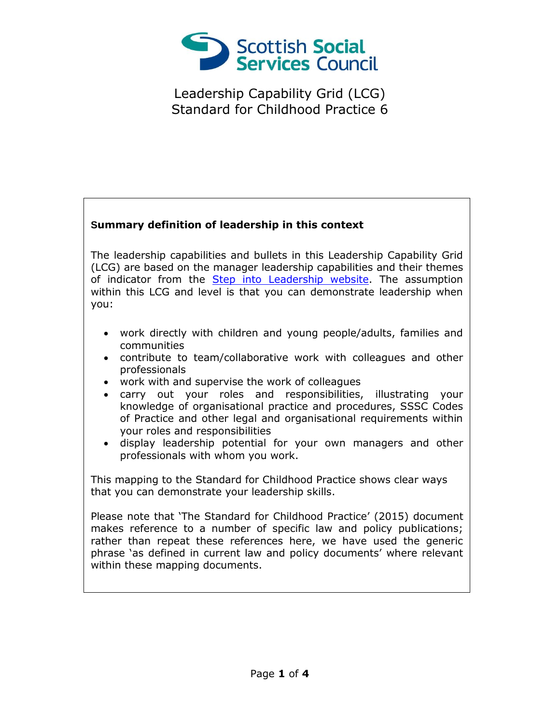

## **Summary definition of leadership in this context**

The leadership capabilities and bullets in this Leadership Capability Grid (LCG) are based on the manager leadership capabilities and their themes of indicator from the [Step into Leadership website.](http://www.stepintoleadership.info/) The assumption within this LCG and level is that you can demonstrate leadership when you:

- work directly with children and young people/adults, families and communities
- contribute to team/collaborative work with colleagues and other professionals
- work with and supervise the work of colleagues
- carry out your roles and responsibilities, illustrating your knowledge of organisational practice and procedures, SSSC Codes of Practice and other legal and organisational requirements within your roles and responsibilities
- display leadership potential for your own managers and other professionals with whom you work.

This mapping to the Standard for Childhood Practice shows clear ways that you can demonstrate your leadership skills.

Please note that 'The Standard for Childhood Practice' (2015) document makes reference to a number of specific law and policy publications; rather than repeat these references here, we have used the generic phrase 'as defined in current law and policy documents' where relevant within these mapping documents.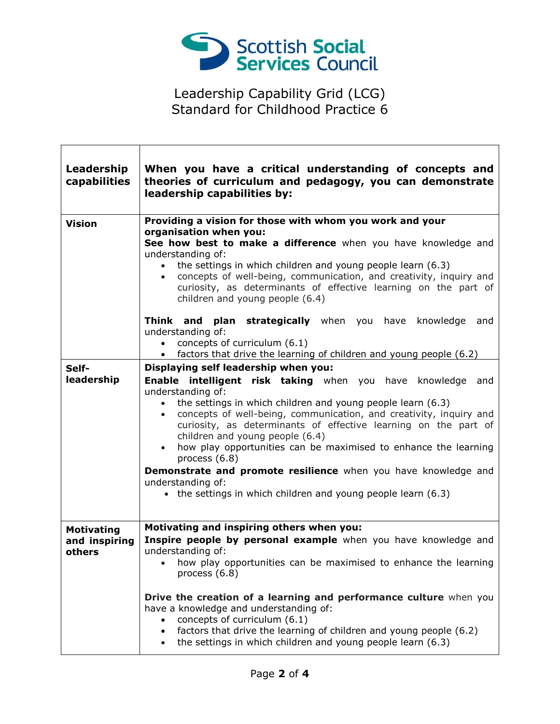

 $\Gamma$ 

Т

| Leadership<br>capabilities                   | When you have a critical understanding of concepts and<br>theories of curriculum and pedagogy, you can demonstrate<br>leadership capabilities by:                                                                                                                                                                                                                                                                                                                                                                                                                                                                                                     |
|----------------------------------------------|-------------------------------------------------------------------------------------------------------------------------------------------------------------------------------------------------------------------------------------------------------------------------------------------------------------------------------------------------------------------------------------------------------------------------------------------------------------------------------------------------------------------------------------------------------------------------------------------------------------------------------------------------------|
| <b>Vision</b>                                | Providing a vision for those with whom you work and your<br>organisation when you:<br>See how best to make a difference when you have knowledge and<br>understanding of:<br>the settings in which children and young people learn (6.3)<br>concepts of well-being, communication, and creativity, inquiry and<br>$\bullet$<br>curiosity, as determinants of effective learning on the part of<br>children and young people (6.4)                                                                                                                                                                                                                      |
|                                              | Think and plan strategically when you have knowledge and<br>understanding of:<br>concepts of curriculum (6.1)<br>factors that drive the learning of children and young people (6.2)<br>$\bullet$                                                                                                                                                                                                                                                                                                                                                                                                                                                      |
| Self-<br>leadership                          | Displaying self leadership when you:<br>Enable intelligent risk taking when you have knowledge and<br>understanding of:<br>the settings in which children and young people learn (6.3)<br>$\bullet$<br>concepts of well-being, communication, and creativity, inquiry and<br>$\bullet$<br>curiosity, as determinants of effective learning on the part of<br>children and young people (6.4)<br>how play opportunities can be maximised to enhance the learning<br>$\bullet$<br>process (6.8)<br>Demonstrate and promote resilience when you have knowledge and<br>understanding of:<br>• the settings in which children and young people learn (6.3) |
| <b>Motivating</b><br>and inspiring<br>others | Motivating and inspiring others when you:<br>Inspire people by personal example when you have knowledge and<br>understanding of:<br>how play opportunities can be maximised to enhance the learning<br>process $(6.8)$<br>Drive the creation of a learning and performance culture when you<br>have a knowledge and understanding of:<br>concepts of curriculum (6.1)<br>factors that drive the learning of children and young people (6.2)<br>$\bullet$<br>the settings in which children and young people learn (6.3)<br>$\bullet$                                                                                                                  |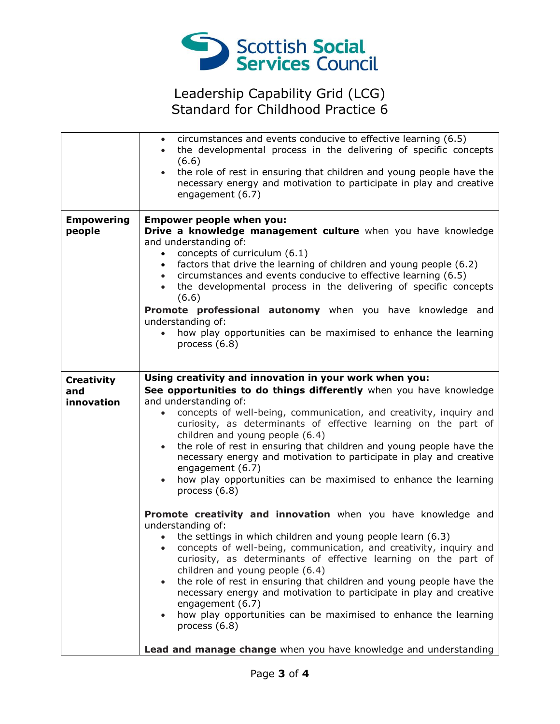

|                                        | circumstances and events conducive to effective learning (6.5)<br>$\bullet$<br>the developmental process in the delivering of specific concepts<br>(6.6)<br>the role of rest in ensuring that children and young people have the<br>necessary energy and motivation to participate in play and creative<br>engagement (6.7)                                                                                                                                                                                                                                                                                                                                                                                                                                                                                                                                                                                                                                                                                                                                                                                                                                                                                                          |
|----------------------------------------|--------------------------------------------------------------------------------------------------------------------------------------------------------------------------------------------------------------------------------------------------------------------------------------------------------------------------------------------------------------------------------------------------------------------------------------------------------------------------------------------------------------------------------------------------------------------------------------------------------------------------------------------------------------------------------------------------------------------------------------------------------------------------------------------------------------------------------------------------------------------------------------------------------------------------------------------------------------------------------------------------------------------------------------------------------------------------------------------------------------------------------------------------------------------------------------------------------------------------------------|
| <b>Empowering</b><br>people            | <b>Empower people when you:</b><br>Drive a knowledge management culture when you have knowledge<br>and understanding of:<br>concepts of curriculum (6.1)<br>$\bullet$<br>factors that drive the learning of children and young people (6.2)<br>$\bullet$<br>circumstances and events conducive to effective learning (6.5)<br>$\bullet$<br>the developmental process in the delivering of specific concepts<br>(6.6)<br>Promote professional autonomy when you have knowledge and<br>understanding of:<br>how play opportunities can be maximised to enhance the learning<br>process (6.8)                                                                                                                                                                                                                                                                                                                                                                                                                                                                                                                                                                                                                                           |
| <b>Creativity</b><br>and<br>innovation | Using creativity and innovation in your work when you:<br>See opportunities to do things differently when you have knowledge<br>and understanding of:<br>concepts of well-being, communication, and creativity, inquiry and<br>$\bullet$<br>curiosity, as determinants of effective learning on the part of<br>children and young people (6.4)<br>the role of rest in ensuring that children and young people have the<br>$\bullet$<br>necessary energy and motivation to participate in play and creative<br>engagement (6.7)<br>how play opportunities can be maximised to enhance the learning<br>process (6.8)<br>Promote creativity and innovation when you have knowledge and<br>understanding of:<br>the settings in which children and young people learn (6.3)<br>$\bullet$<br>concepts of well-being, communication, and creativity, inquiry and<br>curiosity, as determinants of effective learning on the part of<br>children and young people (6.4)<br>the role of rest in ensuring that children and young people have the<br>$\bullet$<br>necessary energy and motivation to participate in play and creative<br>engagement (6.7)<br>how play opportunities can be maximised to enhance the learning<br>process (6.8) |
|                                        | Lead and manage change when you have knowledge and understanding                                                                                                                                                                                                                                                                                                                                                                                                                                                                                                                                                                                                                                                                                                                                                                                                                                                                                                                                                                                                                                                                                                                                                                     |